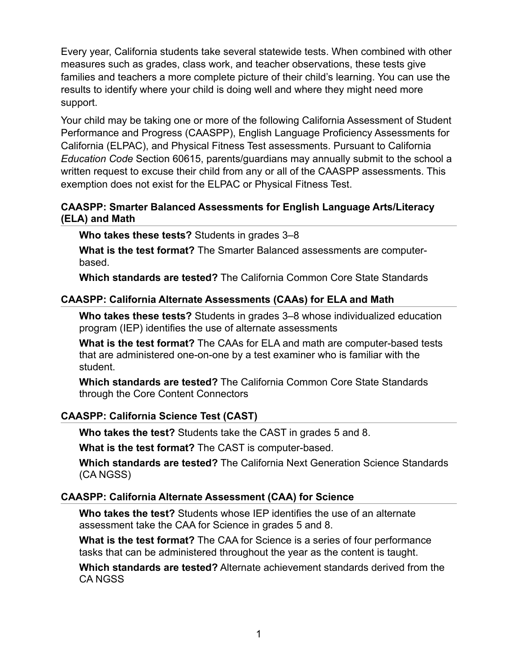Every year, California students take several statewide tests. When combined with other measures such as grades, class work, and teacher observations, these tests give families and teachers a more complete picture of their child's learning. You can use the results to identify where your child is doing well and where they might need more support.

Your child may be taking one or more of the following California Assessment of Student Performance and Progress (CAASPP), English Language Proficiency Assessments for California (ELPAC), and Physical Fitness Test assessments. Pursuant to California *Education Code* Section 60615, parents/guardians may annually submit to the school a written request to excuse their child from any or all of the CAASPP assessments. This exemption does not exist for the ELPAC or Physical Fitness Test.

# **CAASPP: Smarter Balanced Assessments for English Language Arts/Literacy (ELA) and Math**

**Who takes these tests?** Students in grades 3–8

**What is the test format?** The Smarter Balanced assessments are computerbased.

**Which standards are tested?** The California Common Core State Standards

# **CAASPP: California Alternate Assessments (CAAs) for ELA and Math**

**Who takes these tests?** Students in grades 3–8 whose individualized education program (IEP) identifies the use of alternate assessments

**What is the test format?** The CAAs for ELA and math are computer-based tests that are administered one-on-one by a test examiner who is familiar with the student.

**Which standards are tested?** The California Common Core State Standards through the Core Content Connectors

# **CAASPP: California Science Test (CAST)**

**Who takes the test?** Students take the CAST in grades 5 and 8.

**What is the test format?** The CAST is computer-based.

**Which standards are tested?** The California Next Generation Science Standards (CA NGSS)

# **CAASPP: California Alternate Assessment (CAA) for Science**

**Who takes the test?** Students whose IEP identifies the use of an alternate assessment take the CAA for Science in grades 5 and 8.

**What is the test format?** The CAA for Science is a series of four performance tasks that can be administered throughout the year as the content is taught.

**Which standards are tested?** Alternate achievement standards derived from the CA NGSS